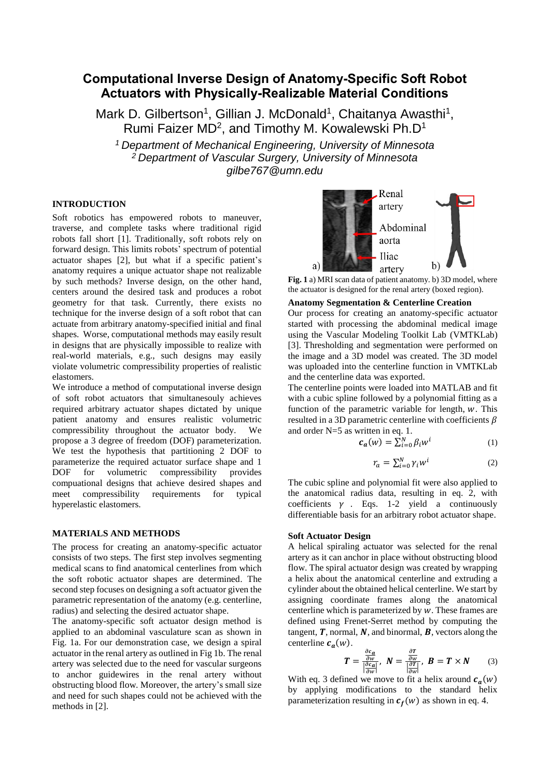# **Computational Inverse Design of Anatomy-Specific Soft Robot Actuators with Physically-Realizable Material Conditions**

Mark D. Gilbertson<sup>1</sup>, Gillian J. McDonald<sup>1</sup>, Chaitanya Awasthi<sup>1</sup>, Rumi Faizer MD<sup>2</sup>, and Timothy M. Kowalewski Ph.D<sup>1</sup>

*<sup>1</sup>Department of Mechanical Engineering, University of Minnesota <sup>2</sup>Department of Vascular Surgery, University of Minnesota gilbe767@umn.edu*

# **INTRODUCTION**

Soft robotics has empowered robots to maneuver, traverse, and complete tasks where traditional rigid robots fall short [1]. Traditionally, soft robots rely on forward design. This limits robots' spectrum of potential actuator shapes [2], but what if a specific patient's anatomy requires a unique actuator shape not realizable by such methods? Inverse design, on the other hand, centers around the desired task and produces a robot geometry for that task. Currently, there exists no technique for the inverse design of a soft robot that can actuate from arbitrary anatomy-specified initial and final shapes. Worse, computational methods may easily result in designs that are physically impossible to realize with real-world materials, e.g., such designs may easily violate volumetric compressibility properties of realistic elastomers.

We introduce a method of computational inverse design of soft robot actuators that simultanesouly achieves required arbitrary actuator shapes dictated by unique patient anatomy and ensures realistic volumetric compressibility throughout the actuator body. We propose a 3 degree of freedom (DOF) parameterization. We test the hypothesis that partitioning 2 DOF to parameterize the required actuator surface shape and 1 DOF for volumetric compressibility provides compuational designs that achieve desired shapes and meet compressibility requirements for typical hyperelastic elastomers.

#### **MATERIALS AND METHODS**

The process for creating an anatomy-specific actuator consists of two steps. The first step involves segmenting medical scans to find anatomical centerlines from which the soft robotic actuator shapes are determined. The second step focuses on designing a soft actuator given the parametric representation of the anatomy (e.g. centerline, radius) and selecting the desired actuator shape.

The anatomy-specific soft actuator design method is applied to an abdominal vasculature scan as shown in Fig. 1a. For our demonstration case, we design a spiral actuator in the renal artery as outlined in Fig 1b. The renal artery was selected due to the need for vascular surgeons to anchor guidewires in the renal artery without obstructing blood flow. Moreover, the artery's small size and need for such shapes could not be achieved with the methods in [2].



**Fig. 1** a) MRI scan data of patient anatomy. b) 3D model, where the actuator is designed for the renal artery (boxed region).

## **Anatomy Segmentation & Centerline Creation**

Our process for creating an anatomy-specific actuator started with processing the abdominal medical image using the Vascular Modeling Toolkit Lab (VMTKLab) [3]. Thresholding and segmentation were performed on the image and a 3D model was created. The 3D model was uploaded into the centerline function in VMTKLab and the centerline data was exported.

The centerline points were loaded into MATLAB and fit with a cubic spline followed by a polynomial fitting as a function of the parametric variable for length,  $w$ . This resulted in a 3D parametric centerline with coefficients  $\beta$ and order N=5 as written in eq. 1.

$$
c_a(w) = \sum_{i=0}^{N} \beta_i w^i
$$
 (1)

$$
r_a = \sum_{i=0}^{N} \gamma_i w^i \tag{2}
$$

The cubic spline and polynomial fit were also applied to the anatomical radius data, resulting in eq. 2, with coefficients  $\gamma$  . Eqs. 1-2 yield a continuously differentiable basis for an arbitrary robot actuator shape.

## **Soft Actuator Design**

A helical spiraling actuator was selected for the renal artery as it can anchor in place without obstructing blood flow. The spiral actuator design was created by wrapping a helix about the anatomical centerline and extruding a cylinder about the obtained helical centerline. We start by assigning coordinate frames along the anatomical centerline which is parameterized by  $w$ . These frames are defined using Frenet-Serret method by computing the tangent,  $\bm{T}$ , normal,  $\bm{N}$ , and binormal,  $\bm{B}$ , vectors along the centerline  $c_a(w)$ .

$$
T = \frac{\frac{\partial c_a}{\partial w}}{\left|\frac{\partial c_a}{\partial w}\right|}, \ N = \frac{\frac{\partial T}{\partial w}}{\left|\frac{\partial T}{\partial w}\right|}, \ B = T \times N \tag{3}
$$

With eq. 3 defined we move to fit a helix around  $c_a(w)$ by applying modifications to the standard helix parameterization resulting in  $c_f(w)$  as shown in eq. 4.